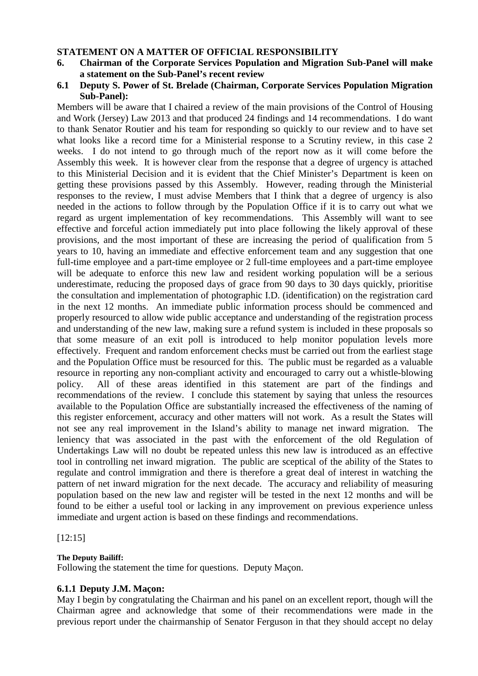### **STATEMENT ON A MATTER OF OFFICIAL RESPONSIBILITY**

- **6. Chairman of the Corporate Services Population and Migration Sub-Panel will make a statement on the Sub-Panel's recent review**
- **6.1 Deputy S. Power of St. Brelade (Chairman, Corporate Services Population Migration Sub-Panel):**

Members will be aware that I chaired a review of the main provisions of the Control of Housing and Work (Jersey) Law 2013 and that produced 24 findings and 14 recommendations. I do want to thank Senator Routier and his team for responding so quickly to our review and to have set what looks like a record time for a Ministerial response to a Scrutiny review, in this case 2 weeks. I do not intend to go through much of the report now as it will come before the Assembly this week. It is however clear from the response that a degree of urgency is attached to this Ministerial Decision and it is evident that the Chief Minister's Department is keen on getting these provisions passed by this Assembly. However, reading through the Ministerial responses to the review, I must advise Members that I think that a degree of urgency is also needed in the actions to follow through by the Population Office if it is to carry out what we regard as urgent implementation of key recommendations. This Assembly will want to see effective and forceful action immediately put into place following the likely approval of these provisions, and the most important of these are increasing the period of qualification from 5 years to 10, having an immediate and effective enforcement team and any suggestion that one full-time employee and a part-time employee or 2 full-time employees and a part-time employee will be adequate to enforce this new law and resident working population will be a serious underestimate, reducing the proposed days of grace from 90 days to 30 days quickly, prioritise the consultation and implementation of photographic I.D. (identification) on the registration card in the next 12 months. An immediate public information process should be commenced and properly resourced to allow wide public acceptance and understanding of the registration process and understanding of the new law, making sure a refund system is included in these proposals so that some measure of an exit poll is introduced to help monitor population levels more effectively. Frequent and random enforcement checks must be carried out from the earliest stage and the Population Office must be resourced for this. The public must be regarded as a valuable resource in reporting any non-compliant activity and encouraged to carry out a whistle-blowing policy. All of these areas identified in this statement are part of the findings and recommendations of the review. I conclude this statement by saying that unless the resources available to the Population Office are substantially increased the effectiveness of the naming of this register enforcement, accuracy and other matters will not work. As a result the States will not see any real improvement in the Island's ability to manage net inward migration. The leniency that was associated in the past with the enforcement of the old Regulation of Undertakings Law will no doubt be repeated unless this new law is introduced as an effective tool in controlling net inward migration. The public are sceptical of the ability of the States to regulate and control immigration and there is therefore a great deal of interest in watching the pattern of net inward migration for the next decade. The accuracy and reliability of measuring population based on the new law and register will be tested in the next 12 months and will be found to be either a useful tool or lacking in any improvement on previous experience unless immediate and urgent action is based on these findings and recommendations.

[12:15]

**The Deputy Bailiff:** 

Following the statement the time for questions. Deputy Maçon.

## **6.1.1 Deputy J.M. Maçon:**

May I begin by congratulating the Chairman and his panel on an excellent report, though will the Chairman agree and acknowledge that some of their recommendations were made in the previous report under the chairmanship of Senator Ferguson in that they should accept no delay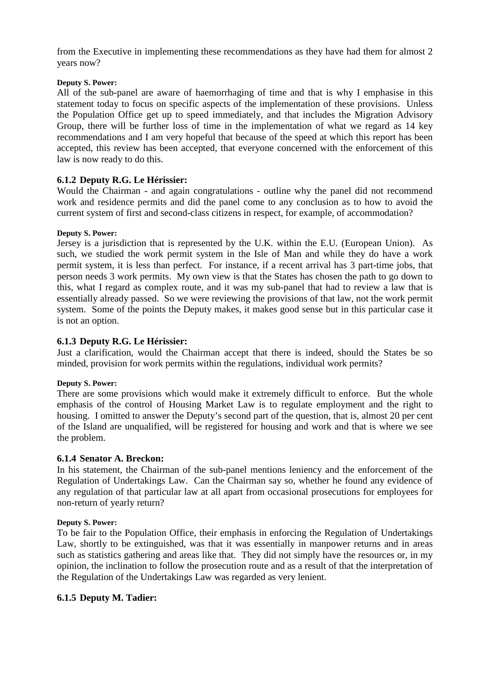from the Executive in implementing these recommendations as they have had them for almost 2 years now?

### **Deputy S. Power:**

All of the sub-panel are aware of haemorrhaging of time and that is why I emphasise in this statement today to focus on specific aspects of the implementation of these provisions. Unless the Population Office get up to speed immediately, and that includes the Migration Advisory Group, there will be further loss of time in the implementation of what we regard as 14 key recommendations and I am very hopeful that because of the speed at which this report has been accepted, this review has been accepted, that everyone concerned with the enforcement of this law is now ready to do this.

# **6.1.2 Deputy R.G. Le Hérissier:**

Would the Chairman - and again congratulations - outline why the panel did not recommend work and residence permits and did the panel come to any conclusion as to how to avoid the current system of first and second-class citizens in respect, for example, of accommodation?

### **Deputy S. Power:**

Jersey is a jurisdiction that is represented by the U.K. within the E.U. (European Union). As such, we studied the work permit system in the Isle of Man and while they do have a work permit system, it is less than perfect. For instance, if a recent arrival has 3 part-time jobs, that person needs 3 work permits. My own view is that the States has chosen the path to go down to this, what I regard as complex route, and it was my sub-panel that had to review a law that is essentially already passed. So we were reviewing the provisions of that law, not the work permit system. Some of the points the Deputy makes, it makes good sense but in this particular case it is not an option.

## **6.1.3 Deputy R.G. Le Hérissier:**

Just a clarification, would the Chairman accept that there is indeed, should the States be so minded, provision for work permits within the regulations, individual work permits?

### **Deputy S. Power:**

There are some provisions which would make it extremely difficult to enforce. But the whole emphasis of the control of Housing Market Law is to regulate employment and the right to housing. I omitted to answer the Deputy's second part of the question, that is, almost 20 per cent of the Island are unqualified, will be registered for housing and work and that is where we see the problem.

## **6.1.4 Senator A. Breckon:**

In his statement, the Chairman of the sub-panel mentions leniency and the enforcement of the Regulation of Undertakings Law. Can the Chairman say so, whether he found any evidence of any regulation of that particular law at all apart from occasional prosecutions for employees for non-return of yearly return?

### **Deputy S. Power:**

To be fair to the Population Office, their emphasis in enforcing the Regulation of Undertakings Law, shortly to be extinguished, was that it was essentially in manpower returns and in areas such as statistics gathering and areas like that. They did not simply have the resources or, in my opinion, the inclination to follow the prosecution route and as a result of that the interpretation of the Regulation of the Undertakings Law was regarded as very lenient.

## **6.1.5 Deputy M. Tadier:**